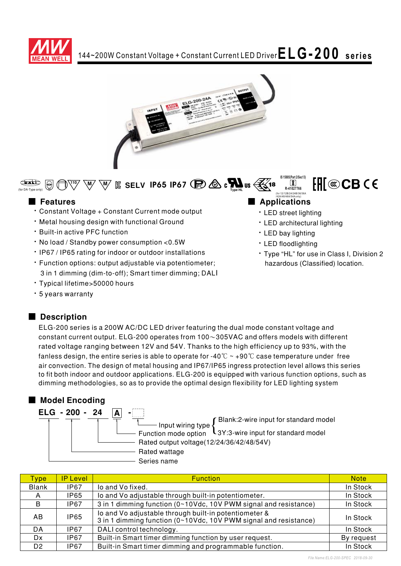



 $\bigoplus$  $\overline{\mathbb{W}}\ \overline{\mathbb{W}}\ \overline{\mathbb{W}}\ \overline{\mathbb{E}}$  SELV IP65 IP67  $\overline{\mathbb{E}}$   $\overline{\mathbb{E}}$   $\overline{\mathbb{E}}$   $\overline{\mathbb{E}}$ (for DA-Type only)

### ■ **Features**

- \* Constant Voltage + Constant Current mode output
- Metal housing design with functional Ground
- Built-in active PFC function
- No load / Standby power consumption < 0.5W
- IP67 / IP65 rating for indoor or outdoor installations
- · Function options: output adjustable via potentiometer; 3 in 1 dimming (dim-to-off); Smart timer dimming; DALI
- \* Typical lifetime>50000 hours
- · 5 years warranty

## ■ Description

ELG-200 series is a 200W AC/DC LED driver featuring the dual mode constant voltage and constant current output. ELG-200 operates from 100 $\sim$ 305VAC and offers models with different rated voltage ranging between 12V and 54V. Thanks to the high efficiency up to 93%, with the fanless design, the entire series is able to operate for -40  $^\circ\!{\rm C}\sim$  +90  $^\circ\!{\rm C}$  case temperature under <code>free</code> air convection. The design of metal housing and IP67/IP65 ingress protection level allows this series to fit both indoor and outdoor applications. ELG-200 is equipped with various function options, such as dimming methodologies, so as to provide the optimal design flexibility for LED lighting system

## ■ Model Encoding

| ELG - 200 - 24 |                                          |                                                          |
|----------------|------------------------------------------|----------------------------------------------------------|
|                | Input wiring type                        | Blank:2-wire input for standard model                    |
|                |                                          | Function mode option L3Y:3-wire input for standard model |
|                | Rated output voltage(12/24/36/42/48/54V) |                                                          |
|                | Rated wattage                            |                                                          |
|                | Series name                              |                                                          |

| <b>Type</b>    | <b>IP Level</b> | <b>Function</b>                                                                                                           | <b>Note</b> |
|----------------|-----------------|---------------------------------------------------------------------------------------------------------------------------|-------------|
| <b>Blank</b>   | <b>IP67</b>     | lo and Vo fixed.                                                                                                          | In Stock    |
| A              | IP65            | lo and Vo adjustable through built-in potentiometer.                                                                      | In Stock    |
| B.             | <b>IP67</b>     | 3 in 1 dimming function (0~10Vdc, 10V PWM signal and resistance)                                                          | In Stock    |
| AB.            | <b>IP65</b>     | lo and Vo adjustable through built-in potentiometer &<br>3 in 1 dimming function (0~10Vdc, 10V PWM signal and resistance) | In Stock    |
| DA             | IP67            | DALI control technology.                                                                                                  | In Stock    |
| Dx.            | IP67            | Built-in Smart timer dimming function by user request.                                                                    | By request  |
| D <sub>2</sub> | IP67            | Built-in Smart timer dimming and programmable function.                                                                   | In Stock    |

#### /42A/48/48A/54A only)

**8**

· LED street lighting

**IS 15885(Part 2/Sec13) R-41027766**  $\boxed{8}$ (for 12/12B/24/24B/36/36A

- · LED architectural lighting
- LED bay lighting
- · LED floodlighting
- \* Type "HL" for use in Class I, Division 2 hazardous (Classified) location.

FHI®CBCE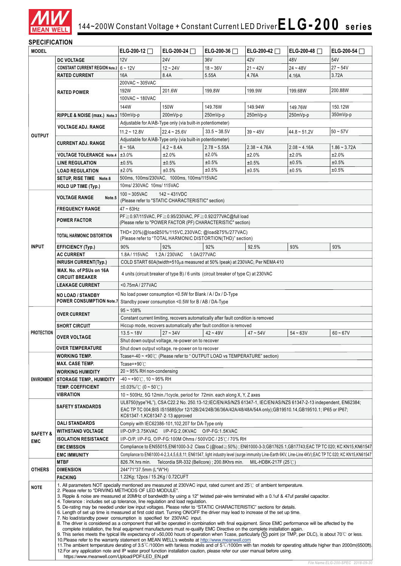

### **SPECIFICATION**

| <b>12V</b><br>36V<br>42V<br>54V<br><b>24V</b><br>48V<br><b>DC VOLTAGE</b><br><b>CONSTANT CURRENT REGION Note.2</b> 6 ~ 12V<br>$12 - 24V$<br>$18 - 36V$<br>$21 - 42V$<br>$27 - 54V$<br>$24 - 48V$<br>5.55A<br>3.72A<br><b>RATED CURRENT</b><br>16A<br>8.4A<br>4.16A<br>4.76A<br>200VAC ~ 305VAC<br>192W<br>199.9W<br>200.88W<br>201.6W<br>199.8W<br>199.68W<br><b>RATED POWER</b><br>100VAC ~ 180VAC<br>144W<br>149.76W<br>149.94W<br>150.12W<br>150W<br>149.76W<br>350mVp-p<br>RIPPLE & NOISE (max.) Note.3 150mVp-p<br>200mVp-p<br>250mVp-p<br>250mVp-p<br>250mVp-p<br>Adjustable for A/AB-Type only (via built-in potentiometer)<br><b>VOLTAGE ADJ. RANGE</b><br>$33.5 - 38.5V$<br>$11.2 - 12.8V$<br>$22.4 - 25.6V$<br>$39 - 45V$<br>$44.8 - 51.2V$<br>$50 - 57V$<br><b>OUTPUT</b><br>Adjustable for A/AB-Type only (via built-in potentiometer)<br><b>CURRENT ADJ. RANGE</b><br>$8 - 16A$<br>$4.2 - 8.4A$<br>$2.78 - 5.55A$<br>$2.38 - 4.76A$<br>$2.08 - 4.16A$<br>$1.86 - 3.72A$<br>±2.0%<br>±2.0%<br>±3.0%<br>±2.0%<br>±2.0%<br>±2.0%<br><b>VOLTAGE TOLERANCE Note.4</b><br>±0.5%<br>±0.5%<br>±0.5%<br><b>LINE REGULATION</b><br>±0.5%<br>±0.5%<br>±0.5%<br>±0.5%<br>±0.5%<br>±2.0%<br>±0.5%<br>±0.5%<br>±0.5%<br><b>LOAD REGULATION</b><br>500ms, 100ms/230VAC, 1000ms, 100ms/115VAC<br>SETUP. RISE TIME Note.6<br>10ms/230VAC 10ms/115VAC<br><b>HOLD UP TIME (Typ.)</b><br>$100 - 305$ VAC<br>$142 - 431VDC$<br><b>VOLTAGE RANGE</b><br>Note.5<br>(Please refer to "STATIC CHARACTERISTIC" section)<br>$47 - 63$ Hz<br><b>FREQUENCY RANGE</b><br>PF ≥ 0.97/115VAC, PF ≥ 0.95/230VAC, PF ≥ 0.92/277VAC@full load<br><b>POWER FACTOR</b><br>(Please refer to "POWER FACTOR (PF) CHARACTERISTIC" section)<br>THD<20%(@load≧50%/115VC,230VAC;@load≧75%/277VAC)<br><b>TOTAL HARMONIC DISTORTION</b><br>(Please refer to "TOTAL HARMONIC DISTORTION(THD)" section)<br><b>INPUT</b><br>92%<br>92%<br><b>EFFICIENCY (Typ.)</b><br>90%<br>92.5%<br>93%<br>93%<br><b>AC CURRENT</b><br>1.8A/115VAC<br>1.2A / 230VAC<br>1.0A/277VAC<br><b>INRUSH CURRENT(Typ.)</b><br>COLD START 60A(twidth=510 $\mu$ s measured at 50% Ipeak) at 230VAC; Per NEMA 410<br>MAX. No. of PSUs on 16A<br>4 units (circuit breaker of type B) / 6 units (circuit breaker of type C) at 230VAC<br><b>CIRCUIT BREAKER</b><br><0.75mA/277VAC<br><b>LEAKAGE CURRENT</b><br>No load power consumption <0.5W for Blank / A / Dx / D-Type<br><b>NO LOAD / STANDBY</b><br><b>POWER CONSUMPTION Note.7</b><br>Standby power consumption <0.5W for B / AB / DA-Type<br>$95 - 108%$<br><b>OVER CURRENT</b><br>Constant current limiting, recovers automatically after fault condition is removed<br>Hiccup mode, recovers automatically after fault condition is removed<br><b>SHORT CIRCUIT</b><br><b>PROTECTION</b><br>$13.5 - 18V$<br>$27 - 34V$<br>$42 - 49V$<br>$47 - 54V$<br>$54 - 63V$<br>$60 - 67V$<br><b>OVER VOLTAGE</b><br>Shut down output voltage, re-power on to recover<br><b>OVER TEMPERATURE</b><br>Shut down output voltage, re-power on to recover<br>Tcase=-40 ~ +90℃ (Please refer to "OUTPUT LOAD vs TEMPERATURE" section)<br><b>WORKING TEMP.</b><br><b>MAX. CASE TEMP.</b><br>Tcase=+90 $°C$<br>20 ~ 95% RH non-condensing<br><b>WORKING HUMIDITY</b><br>$-40 \sim +90^{\circ}$ C, 10 ~ 95% RH<br><b>STORAGE TEMP., HUMIDITY</b><br><b>ENVIRONMENT</b><br><b>TEMP. COEFFICIENT</b><br>$\pm 0.03\%$ / $\degree$ (0 ~ 50 $\degree$ C)<br><b>VIBRATION</b><br>10 $\sim$ 500Hz, 5G 12min./1cycle, period for 72min. each along X, Y, Z axes<br>UL8750(type"HL"), CSA C22.2 No. 250.13-12;IEC/EN/AS/NZS 61347-1, IEC/EN/AS/NZS 61347-2-13 independent, EN62384;<br><b>SAFETY STANDARDS</b><br>EAC TP TC 004:BIS IS15885(for 12/12B/24/24B/36/36A/42A/48/48A/54A only):GB19510.14.GB19510.1; IP65 or IP67;<br>KC61347-1, KC61347-2-13 approved<br><b>DALI STANDARDS</b><br>Compiy with IEC62386-101,102,207 for DA-Type only<br><b>WITHSTAND VOLTAGE</b><br>I/P-O/P:3.75KVAC I/P-FG:2.0KVAC O/P-FG:1.5KVAC<br><b>SAFETY &amp;</b><br><b>ISOLATION RESISTANCE</b><br>I/P-O/P, I/P-FG, O/P-FG:100M Ohms / 500VDC / 25℃/ 70% RH<br>EMC<br>Compliance to EN55015,EN61000-3-2 Class C (@load≥50%) ; EN61000-3-3;GB17625.1,GB17743;EAC TP TC 020; KC KN15,KN61547<br><b>EMC EMISSION</b><br>Compliance to EN61000-4-2,3,4,5,6,8,11; EN61547, light industry level (surge immunity Line-Earth 6KV, Line-Line 4KV); EAC TP TC 020; KC KN15, KN61547<br><b>EMC IMMUNITY</b><br><b>MTBF</b><br>Telcordia SR-332 (Bellcore); 200.8Khrs min.<br>MIL-HDBK-217F (25℃)<br>826.7K hrs min.<br>244*71*37.5mm (L*W*H)<br><b>OTHERS</b><br><b>DIMENSION</b><br>1.22Kg; 12pcs / 15.2Kg / 0.72CUFT<br><b>PACKING</b><br>1. All parameters NOT specially mentioned are measured at 230VAC input, rated current and 25°C of ambient temperature.<br><b>NOTE</b><br>2. Please refer to "DRIVING METHODS OF LED MODULE".<br>3. Ripple & noise are measured at 20MHz of bandwidth by using a 12" twisted pair-wire terminated with a 0.1uf & 47uf parallel capacitor.<br>4. Tolerance: includes set up tolerance, line regulation and load regulation.<br>5. De-rating may be needed under low input voltages. Please refer to "STATIC CHARACTERISTIC" sections for details.<br>6. Length of set up time is measured at first cold start. Turning ON/OFF the driver may lead to increase of the set up time.<br>7. No load/standby power consumption is specified for 230VAC input.<br>8. The driver is considered as a component that will be operated in combination with final equipment. Since EMC performance will be affected by the<br>complete installation, the final equipment manufacturers must re-qualify EMC Directive on the complete installation again.<br>9. This series meets the typical life expectancy of >50,000 hours of operation when Tcase, particularly (tc) point (or TMP, per DLC), is about 70 °C or less.<br>10. Please refer to the warranty statement on MEAN WELL's website at http://www.meanwell.com<br>11. The ambient temperature derating of $3.5^{\circ}$ C/1000m with fanless models and of $5^{\circ}$ C/1000m with fan models for operating altitude higher than 2000m(6500ft).<br>12. For any application note and IP water proof function installation caution, please refer our user manual before using. | <b>MODEL</b> |  | ELG-200-12 $\Box$ | ELG-200-24 $\Box$ | ELG-200-36 | ELG-200-42 $\Box$ | ELG-200-48 $\Box$ | ELG-200-54 |  |
|--------------------------------------------------------------------------------------------------------------------------------------------------------------------------------------------------------------------------------------------------------------------------------------------------------------------------------------------------------------------------------------------------------------------------------------------------------------------------------------------------------------------------------------------------------------------------------------------------------------------------------------------------------------------------------------------------------------------------------------------------------------------------------------------------------------------------------------------------------------------------------------------------------------------------------------------------------------------------------------------------------------------------------------------------------------------------------------------------------------------------------------------------------------------------------------------------------------------------------------------------------------------------------------------------------------------------------------------------------------------------------------------------------------------------------------------------------------------------------------------------------------------------------------------------------------------------------------------------------------------------------------------------------------------------------------------------------------------------------------------------------------------------------------------------------------------------------------------------------------------------------------------------------------------------------------------------------------------------------------------------------------------------------------------------------------------------------------------------------------------------------------------------------------------------------------------------------------------------------------------------------------------------------------------------------------------------------------------------------------------------------------------------------------------------------------------------------------------------------------------------------------------------------------------------------------------------------------------------------------------------------------------------------------------------------------------------------------------------------------------------------------------------------------------------------------------------------------------------------------------------------------------------------------------------------------------------------------------------------------------------------------------------------------------------------------------------------------------------------------------------------------------------------------------------------------------------------------------------------------------------------------------------------------------------------------------------------------------------------------------------------------------------------------------------------------------------------------------------------------------------------------------------------------------------------------------------------------------------------------------------------------------------------------------------------------------------------------------------------------------------------------------------------------------------------------------------------------------------------------------------------------------------------------------------------------------------------------------------------------------------------------------------------------------------------------------------------------------------------------------------------------------------------------------------------------------------------------------------------------------------------------------------------------------------------------------------------------------------------------------------------------------------------------------------------------------------------------------------------------------------------------------------------------------------------------------------------------------------------------------------------------------------------------------------------------------------------------------------------------------------------------------------------------------------------------------------------------------------------------------------------------------------------------------------------------------------------------------------------------------------------------------------------------------------------------------------------------------------------------------------------------------------------------------------------------------------------------------------------------------------------------------------------------------------------------------------------------------------------------------------------------------------------------------------------------------------------------------------------------------------------------------------------------------------------------------------------------------------------------------------------------------------------------------------------------------------------------------------------------------------------------------------------------------------------------------------------------------------------------------------------------------------------------------------------------------------------------------------------------------------------------------------------------------------------------------------------------------------------------------------------------------------------------------------------------------------------------------------------------------------------------------------------------------------------------|--------------|--|-------------------|-------------------|------------|-------------------|-------------------|------------|--|
|                                                                                                                                                                                                                                                                                                                                                                                                                                                                                                                                                                                                                                                                                                                                                                                                                                                                                                                                                                                                                                                                                                                                                                                                                                                                                                                                                                                                                                                                                                                                                                                                                                                                                                                                                                                                                                                                                                                                                                                                                                                                                                                                                                                                                                                                                                                                                                                                                                                                                                                                                                                                                                                                                                                                                                                                                                                                                                                                                                                                                                                                                                                                                                                                                                                                                                                                                                                                                                                                                                                                                                                                                                                                                                                                                                                                                                                                                                                                                                                                                                                                                                                                                                                                                                                                                                                                                                                                                                                                                                                                                                                                                                                                                                                                                                                                                                                                                                                                                                                                                                                                                                                                                                                                                                                                                                                                                                                                                                                                                                                                                                                                                                                                                                                                                                                                                                                                                                                                                                                                                                                                                                                                                                                                                                                                                                              |              |  |                   |                   |            |                   |                   |            |  |
|                                                                                                                                                                                                                                                                                                                                                                                                                                                                                                                                                                                                                                                                                                                                                                                                                                                                                                                                                                                                                                                                                                                                                                                                                                                                                                                                                                                                                                                                                                                                                                                                                                                                                                                                                                                                                                                                                                                                                                                                                                                                                                                                                                                                                                                                                                                                                                                                                                                                                                                                                                                                                                                                                                                                                                                                                                                                                                                                                                                                                                                                                                                                                                                                                                                                                                                                                                                                                                                                                                                                                                                                                                                                                                                                                                                                                                                                                                                                                                                                                                                                                                                                                                                                                                                                                                                                                                                                                                                                                                                                                                                                                                                                                                                                                                                                                                                                                                                                                                                                                                                                                                                                                                                                                                                                                                                                                                                                                                                                                                                                                                                                                                                                                                                                                                                                                                                                                                                                                                                                                                                                                                                                                                                                                                                                                                              |              |  |                   |                   |            |                   |                   |            |  |
|                                                                                                                                                                                                                                                                                                                                                                                                                                                                                                                                                                                                                                                                                                                                                                                                                                                                                                                                                                                                                                                                                                                                                                                                                                                                                                                                                                                                                                                                                                                                                                                                                                                                                                                                                                                                                                                                                                                                                                                                                                                                                                                                                                                                                                                                                                                                                                                                                                                                                                                                                                                                                                                                                                                                                                                                                                                                                                                                                                                                                                                                                                                                                                                                                                                                                                                                                                                                                                                                                                                                                                                                                                                                                                                                                                                                                                                                                                                                                                                                                                                                                                                                                                                                                                                                                                                                                                                                                                                                                                                                                                                                                                                                                                                                                                                                                                                                                                                                                                                                                                                                                                                                                                                                                                                                                                                                                                                                                                                                                                                                                                                                                                                                                                                                                                                                                                                                                                                                                                                                                                                                                                                                                                                                                                                                                                              |              |  |                   |                   |            |                   |                   |            |  |
|                                                                                                                                                                                                                                                                                                                                                                                                                                                                                                                                                                                                                                                                                                                                                                                                                                                                                                                                                                                                                                                                                                                                                                                                                                                                                                                                                                                                                                                                                                                                                                                                                                                                                                                                                                                                                                                                                                                                                                                                                                                                                                                                                                                                                                                                                                                                                                                                                                                                                                                                                                                                                                                                                                                                                                                                                                                                                                                                                                                                                                                                                                                                                                                                                                                                                                                                                                                                                                                                                                                                                                                                                                                                                                                                                                                                                                                                                                                                                                                                                                                                                                                                                                                                                                                                                                                                                                                                                                                                                                                                                                                                                                                                                                                                                                                                                                                                                                                                                                                                                                                                                                                                                                                                                                                                                                                                                                                                                                                                                                                                                                                                                                                                                                                                                                                                                                                                                                                                                                                                                                                                                                                                                                                                                                                                                                              |              |  |                   |                   |            |                   |                   |            |  |
|                                                                                                                                                                                                                                                                                                                                                                                                                                                                                                                                                                                                                                                                                                                                                                                                                                                                                                                                                                                                                                                                                                                                                                                                                                                                                                                                                                                                                                                                                                                                                                                                                                                                                                                                                                                                                                                                                                                                                                                                                                                                                                                                                                                                                                                                                                                                                                                                                                                                                                                                                                                                                                                                                                                                                                                                                                                                                                                                                                                                                                                                                                                                                                                                                                                                                                                                                                                                                                                                                                                                                                                                                                                                                                                                                                                                                                                                                                                                                                                                                                                                                                                                                                                                                                                                                                                                                                                                                                                                                                                                                                                                                                                                                                                                                                                                                                                                                                                                                                                                                                                                                                                                                                                                                                                                                                                                                                                                                                                                                                                                                                                                                                                                                                                                                                                                                                                                                                                                                                                                                                                                                                                                                                                                                                                                                                              |              |  |                   |                   |            |                   |                   |            |  |
|                                                                                                                                                                                                                                                                                                                                                                                                                                                                                                                                                                                                                                                                                                                                                                                                                                                                                                                                                                                                                                                                                                                                                                                                                                                                                                                                                                                                                                                                                                                                                                                                                                                                                                                                                                                                                                                                                                                                                                                                                                                                                                                                                                                                                                                                                                                                                                                                                                                                                                                                                                                                                                                                                                                                                                                                                                                                                                                                                                                                                                                                                                                                                                                                                                                                                                                                                                                                                                                                                                                                                                                                                                                                                                                                                                                                                                                                                                                                                                                                                                                                                                                                                                                                                                                                                                                                                                                                                                                                                                                                                                                                                                                                                                                                                                                                                                                                                                                                                                                                                                                                                                                                                                                                                                                                                                                                                                                                                                                                                                                                                                                                                                                                                                                                                                                                                                                                                                                                                                                                                                                                                                                                                                                                                                                                                                              |              |  |                   |                   |            |                   |                   |            |  |
|                                                                                                                                                                                                                                                                                                                                                                                                                                                                                                                                                                                                                                                                                                                                                                                                                                                                                                                                                                                                                                                                                                                                                                                                                                                                                                                                                                                                                                                                                                                                                                                                                                                                                                                                                                                                                                                                                                                                                                                                                                                                                                                                                                                                                                                                                                                                                                                                                                                                                                                                                                                                                                                                                                                                                                                                                                                                                                                                                                                                                                                                                                                                                                                                                                                                                                                                                                                                                                                                                                                                                                                                                                                                                                                                                                                                                                                                                                                                                                                                                                                                                                                                                                                                                                                                                                                                                                                                                                                                                                                                                                                                                                                                                                                                                                                                                                                                                                                                                                                                                                                                                                                                                                                                                                                                                                                                                                                                                                                                                                                                                                                                                                                                                                                                                                                                                                                                                                                                                                                                                                                                                                                                                                                                                                                                                                              |              |  |                   |                   |            |                   |                   |            |  |
|                                                                                                                                                                                                                                                                                                                                                                                                                                                                                                                                                                                                                                                                                                                                                                                                                                                                                                                                                                                                                                                                                                                                                                                                                                                                                                                                                                                                                                                                                                                                                                                                                                                                                                                                                                                                                                                                                                                                                                                                                                                                                                                                                                                                                                                                                                                                                                                                                                                                                                                                                                                                                                                                                                                                                                                                                                                                                                                                                                                                                                                                                                                                                                                                                                                                                                                                                                                                                                                                                                                                                                                                                                                                                                                                                                                                                                                                                                                                                                                                                                                                                                                                                                                                                                                                                                                                                                                                                                                                                                                                                                                                                                                                                                                                                                                                                                                                                                                                                                                                                                                                                                                                                                                                                                                                                                                                                                                                                                                                                                                                                                                                                                                                                                                                                                                                                                                                                                                                                                                                                                                                                                                                                                                                                                                                                                              |              |  |                   |                   |            |                   |                   |            |  |
|                                                                                                                                                                                                                                                                                                                                                                                                                                                                                                                                                                                                                                                                                                                                                                                                                                                                                                                                                                                                                                                                                                                                                                                                                                                                                                                                                                                                                                                                                                                                                                                                                                                                                                                                                                                                                                                                                                                                                                                                                                                                                                                                                                                                                                                                                                                                                                                                                                                                                                                                                                                                                                                                                                                                                                                                                                                                                                                                                                                                                                                                                                                                                                                                                                                                                                                                                                                                                                                                                                                                                                                                                                                                                                                                                                                                                                                                                                                                                                                                                                                                                                                                                                                                                                                                                                                                                                                                                                                                                                                                                                                                                                                                                                                                                                                                                                                                                                                                                                                                                                                                                                                                                                                                                                                                                                                                                                                                                                                                                                                                                                                                                                                                                                                                                                                                                                                                                                                                                                                                                                                                                                                                                                                                                                                                                                              |              |  |                   |                   |            |                   |                   |            |  |
|                                                                                                                                                                                                                                                                                                                                                                                                                                                                                                                                                                                                                                                                                                                                                                                                                                                                                                                                                                                                                                                                                                                                                                                                                                                                                                                                                                                                                                                                                                                                                                                                                                                                                                                                                                                                                                                                                                                                                                                                                                                                                                                                                                                                                                                                                                                                                                                                                                                                                                                                                                                                                                                                                                                                                                                                                                                                                                                                                                                                                                                                                                                                                                                                                                                                                                                                                                                                                                                                                                                                                                                                                                                                                                                                                                                                                                                                                                                                                                                                                                                                                                                                                                                                                                                                                                                                                                                                                                                                                                                                                                                                                                                                                                                                                                                                                                                                                                                                                                                                                                                                                                                                                                                                                                                                                                                                                                                                                                                                                                                                                                                                                                                                                                                                                                                                                                                                                                                                                                                                                                                                                                                                                                                                                                                                                                              |              |  |                   |                   |            |                   |                   |            |  |
|                                                                                                                                                                                                                                                                                                                                                                                                                                                                                                                                                                                                                                                                                                                                                                                                                                                                                                                                                                                                                                                                                                                                                                                                                                                                                                                                                                                                                                                                                                                                                                                                                                                                                                                                                                                                                                                                                                                                                                                                                                                                                                                                                                                                                                                                                                                                                                                                                                                                                                                                                                                                                                                                                                                                                                                                                                                                                                                                                                                                                                                                                                                                                                                                                                                                                                                                                                                                                                                                                                                                                                                                                                                                                                                                                                                                                                                                                                                                                                                                                                                                                                                                                                                                                                                                                                                                                                                                                                                                                                                                                                                                                                                                                                                                                                                                                                                                                                                                                                                                                                                                                                                                                                                                                                                                                                                                                                                                                                                                                                                                                                                                                                                                                                                                                                                                                                                                                                                                                                                                                                                                                                                                                                                                                                                                                                              |              |  |                   |                   |            |                   |                   |            |  |
|                                                                                                                                                                                                                                                                                                                                                                                                                                                                                                                                                                                                                                                                                                                                                                                                                                                                                                                                                                                                                                                                                                                                                                                                                                                                                                                                                                                                                                                                                                                                                                                                                                                                                                                                                                                                                                                                                                                                                                                                                                                                                                                                                                                                                                                                                                                                                                                                                                                                                                                                                                                                                                                                                                                                                                                                                                                                                                                                                                                                                                                                                                                                                                                                                                                                                                                                                                                                                                                                                                                                                                                                                                                                                                                                                                                                                                                                                                                                                                                                                                                                                                                                                                                                                                                                                                                                                                                                                                                                                                                                                                                                                                                                                                                                                                                                                                                                                                                                                                                                                                                                                                                                                                                                                                                                                                                                                                                                                                                                                                                                                                                                                                                                                                                                                                                                                                                                                                                                                                                                                                                                                                                                                                                                                                                                                                              |              |  |                   |                   |            |                   |                   |            |  |
|                                                                                                                                                                                                                                                                                                                                                                                                                                                                                                                                                                                                                                                                                                                                                                                                                                                                                                                                                                                                                                                                                                                                                                                                                                                                                                                                                                                                                                                                                                                                                                                                                                                                                                                                                                                                                                                                                                                                                                                                                                                                                                                                                                                                                                                                                                                                                                                                                                                                                                                                                                                                                                                                                                                                                                                                                                                                                                                                                                                                                                                                                                                                                                                                                                                                                                                                                                                                                                                                                                                                                                                                                                                                                                                                                                                                                                                                                                                                                                                                                                                                                                                                                                                                                                                                                                                                                                                                                                                                                                                                                                                                                                                                                                                                                                                                                                                                                                                                                                                                                                                                                                                                                                                                                                                                                                                                                                                                                                                                                                                                                                                                                                                                                                                                                                                                                                                                                                                                                                                                                                                                                                                                                                                                                                                                                                              |              |  |                   |                   |            |                   |                   |            |  |
|                                                                                                                                                                                                                                                                                                                                                                                                                                                                                                                                                                                                                                                                                                                                                                                                                                                                                                                                                                                                                                                                                                                                                                                                                                                                                                                                                                                                                                                                                                                                                                                                                                                                                                                                                                                                                                                                                                                                                                                                                                                                                                                                                                                                                                                                                                                                                                                                                                                                                                                                                                                                                                                                                                                                                                                                                                                                                                                                                                                                                                                                                                                                                                                                                                                                                                                                                                                                                                                                                                                                                                                                                                                                                                                                                                                                                                                                                                                                                                                                                                                                                                                                                                                                                                                                                                                                                                                                                                                                                                                                                                                                                                                                                                                                                                                                                                                                                                                                                                                                                                                                                                                                                                                                                                                                                                                                                                                                                                                                                                                                                                                                                                                                                                                                                                                                                                                                                                                                                                                                                                                                                                                                                                                                                                                                                                              |              |  |                   |                   |            |                   |                   |            |  |
|                                                                                                                                                                                                                                                                                                                                                                                                                                                                                                                                                                                                                                                                                                                                                                                                                                                                                                                                                                                                                                                                                                                                                                                                                                                                                                                                                                                                                                                                                                                                                                                                                                                                                                                                                                                                                                                                                                                                                                                                                                                                                                                                                                                                                                                                                                                                                                                                                                                                                                                                                                                                                                                                                                                                                                                                                                                                                                                                                                                                                                                                                                                                                                                                                                                                                                                                                                                                                                                                                                                                                                                                                                                                                                                                                                                                                                                                                                                                                                                                                                                                                                                                                                                                                                                                                                                                                                                                                                                                                                                                                                                                                                                                                                                                                                                                                                                                                                                                                                                                                                                                                                                                                                                                                                                                                                                                                                                                                                                                                                                                                                                                                                                                                                                                                                                                                                                                                                                                                                                                                                                                                                                                                                                                                                                                                                              |              |  |                   |                   |            |                   |                   |            |  |
|                                                                                                                                                                                                                                                                                                                                                                                                                                                                                                                                                                                                                                                                                                                                                                                                                                                                                                                                                                                                                                                                                                                                                                                                                                                                                                                                                                                                                                                                                                                                                                                                                                                                                                                                                                                                                                                                                                                                                                                                                                                                                                                                                                                                                                                                                                                                                                                                                                                                                                                                                                                                                                                                                                                                                                                                                                                                                                                                                                                                                                                                                                                                                                                                                                                                                                                                                                                                                                                                                                                                                                                                                                                                                                                                                                                                                                                                                                                                                                                                                                                                                                                                                                                                                                                                                                                                                                                                                                                                                                                                                                                                                                                                                                                                                                                                                                                                                                                                                                                                                                                                                                                                                                                                                                                                                                                                                                                                                                                                                                                                                                                                                                                                                                                                                                                                                                                                                                                                                                                                                                                                                                                                                                                                                                                                                                              |              |  |                   |                   |            |                   |                   |            |  |
|                                                                                                                                                                                                                                                                                                                                                                                                                                                                                                                                                                                                                                                                                                                                                                                                                                                                                                                                                                                                                                                                                                                                                                                                                                                                                                                                                                                                                                                                                                                                                                                                                                                                                                                                                                                                                                                                                                                                                                                                                                                                                                                                                                                                                                                                                                                                                                                                                                                                                                                                                                                                                                                                                                                                                                                                                                                                                                                                                                                                                                                                                                                                                                                                                                                                                                                                                                                                                                                                                                                                                                                                                                                                                                                                                                                                                                                                                                                                                                                                                                                                                                                                                                                                                                                                                                                                                                                                                                                                                                                                                                                                                                                                                                                                                                                                                                                                                                                                                                                                                                                                                                                                                                                                                                                                                                                                                                                                                                                                                                                                                                                                                                                                                                                                                                                                                                                                                                                                                                                                                                                                                                                                                                                                                                                                                                              |              |  |                   |                   |            |                   |                   |            |  |
|                                                                                                                                                                                                                                                                                                                                                                                                                                                                                                                                                                                                                                                                                                                                                                                                                                                                                                                                                                                                                                                                                                                                                                                                                                                                                                                                                                                                                                                                                                                                                                                                                                                                                                                                                                                                                                                                                                                                                                                                                                                                                                                                                                                                                                                                                                                                                                                                                                                                                                                                                                                                                                                                                                                                                                                                                                                                                                                                                                                                                                                                                                                                                                                                                                                                                                                                                                                                                                                                                                                                                                                                                                                                                                                                                                                                                                                                                                                                                                                                                                                                                                                                                                                                                                                                                                                                                                                                                                                                                                                                                                                                                                                                                                                                                                                                                                                                                                                                                                                                                                                                                                                                                                                                                                                                                                                                                                                                                                                                                                                                                                                                                                                                                                                                                                                                                                                                                                                                                                                                                                                                                                                                                                                                                                                                                                              |              |  |                   |                   |            |                   |                   |            |  |
|                                                                                                                                                                                                                                                                                                                                                                                                                                                                                                                                                                                                                                                                                                                                                                                                                                                                                                                                                                                                                                                                                                                                                                                                                                                                                                                                                                                                                                                                                                                                                                                                                                                                                                                                                                                                                                                                                                                                                                                                                                                                                                                                                                                                                                                                                                                                                                                                                                                                                                                                                                                                                                                                                                                                                                                                                                                                                                                                                                                                                                                                                                                                                                                                                                                                                                                                                                                                                                                                                                                                                                                                                                                                                                                                                                                                                                                                                                                                                                                                                                                                                                                                                                                                                                                                                                                                                                                                                                                                                                                                                                                                                                                                                                                                                                                                                                                                                                                                                                                                                                                                                                                                                                                                                                                                                                                                                                                                                                                                                                                                                                                                                                                                                                                                                                                                                                                                                                                                                                                                                                                                                                                                                                                                                                                                                                              |              |  |                   |                   |            |                   |                   |            |  |
|                                                                                                                                                                                                                                                                                                                                                                                                                                                                                                                                                                                                                                                                                                                                                                                                                                                                                                                                                                                                                                                                                                                                                                                                                                                                                                                                                                                                                                                                                                                                                                                                                                                                                                                                                                                                                                                                                                                                                                                                                                                                                                                                                                                                                                                                                                                                                                                                                                                                                                                                                                                                                                                                                                                                                                                                                                                                                                                                                                                                                                                                                                                                                                                                                                                                                                                                                                                                                                                                                                                                                                                                                                                                                                                                                                                                                                                                                                                                                                                                                                                                                                                                                                                                                                                                                                                                                                                                                                                                                                                                                                                                                                                                                                                                                                                                                                                                                                                                                                                                                                                                                                                                                                                                                                                                                                                                                                                                                                                                                                                                                                                                                                                                                                                                                                                                                                                                                                                                                                                                                                                                                                                                                                                                                                                                                                              |              |  |                   |                   |            |                   |                   |            |  |
|                                                                                                                                                                                                                                                                                                                                                                                                                                                                                                                                                                                                                                                                                                                                                                                                                                                                                                                                                                                                                                                                                                                                                                                                                                                                                                                                                                                                                                                                                                                                                                                                                                                                                                                                                                                                                                                                                                                                                                                                                                                                                                                                                                                                                                                                                                                                                                                                                                                                                                                                                                                                                                                                                                                                                                                                                                                                                                                                                                                                                                                                                                                                                                                                                                                                                                                                                                                                                                                                                                                                                                                                                                                                                                                                                                                                                                                                                                                                                                                                                                                                                                                                                                                                                                                                                                                                                                                                                                                                                                                                                                                                                                                                                                                                                                                                                                                                                                                                                                                                                                                                                                                                                                                                                                                                                                                                                                                                                                                                                                                                                                                                                                                                                                                                                                                                                                                                                                                                                                                                                                                                                                                                                                                                                                                                                                              |              |  |                   |                   |            |                   |                   |            |  |
|                                                                                                                                                                                                                                                                                                                                                                                                                                                                                                                                                                                                                                                                                                                                                                                                                                                                                                                                                                                                                                                                                                                                                                                                                                                                                                                                                                                                                                                                                                                                                                                                                                                                                                                                                                                                                                                                                                                                                                                                                                                                                                                                                                                                                                                                                                                                                                                                                                                                                                                                                                                                                                                                                                                                                                                                                                                                                                                                                                                                                                                                                                                                                                                                                                                                                                                                                                                                                                                                                                                                                                                                                                                                                                                                                                                                                                                                                                                                                                                                                                                                                                                                                                                                                                                                                                                                                                                                                                                                                                                                                                                                                                                                                                                                                                                                                                                                                                                                                                                                                                                                                                                                                                                                                                                                                                                                                                                                                                                                                                                                                                                                                                                                                                                                                                                                                                                                                                                                                                                                                                                                                                                                                                                                                                                                                                              |              |  |                   |                   |            |                   |                   |            |  |
|                                                                                                                                                                                                                                                                                                                                                                                                                                                                                                                                                                                                                                                                                                                                                                                                                                                                                                                                                                                                                                                                                                                                                                                                                                                                                                                                                                                                                                                                                                                                                                                                                                                                                                                                                                                                                                                                                                                                                                                                                                                                                                                                                                                                                                                                                                                                                                                                                                                                                                                                                                                                                                                                                                                                                                                                                                                                                                                                                                                                                                                                                                                                                                                                                                                                                                                                                                                                                                                                                                                                                                                                                                                                                                                                                                                                                                                                                                                                                                                                                                                                                                                                                                                                                                                                                                                                                                                                                                                                                                                                                                                                                                                                                                                                                                                                                                                                                                                                                                                                                                                                                                                                                                                                                                                                                                                                                                                                                                                                                                                                                                                                                                                                                                                                                                                                                                                                                                                                                                                                                                                                                                                                                                                                                                                                                                              |              |  |                   |                   |            |                   |                   |            |  |
|                                                                                                                                                                                                                                                                                                                                                                                                                                                                                                                                                                                                                                                                                                                                                                                                                                                                                                                                                                                                                                                                                                                                                                                                                                                                                                                                                                                                                                                                                                                                                                                                                                                                                                                                                                                                                                                                                                                                                                                                                                                                                                                                                                                                                                                                                                                                                                                                                                                                                                                                                                                                                                                                                                                                                                                                                                                                                                                                                                                                                                                                                                                                                                                                                                                                                                                                                                                                                                                                                                                                                                                                                                                                                                                                                                                                                                                                                                                                                                                                                                                                                                                                                                                                                                                                                                                                                                                                                                                                                                                                                                                                                                                                                                                                                                                                                                                                                                                                                                                                                                                                                                                                                                                                                                                                                                                                                                                                                                                                                                                                                                                                                                                                                                                                                                                                                                                                                                                                                                                                                                                                                                                                                                                                                                                                                                              |              |  |                   |                   |            |                   |                   |            |  |
|                                                                                                                                                                                                                                                                                                                                                                                                                                                                                                                                                                                                                                                                                                                                                                                                                                                                                                                                                                                                                                                                                                                                                                                                                                                                                                                                                                                                                                                                                                                                                                                                                                                                                                                                                                                                                                                                                                                                                                                                                                                                                                                                                                                                                                                                                                                                                                                                                                                                                                                                                                                                                                                                                                                                                                                                                                                                                                                                                                                                                                                                                                                                                                                                                                                                                                                                                                                                                                                                                                                                                                                                                                                                                                                                                                                                                                                                                                                                                                                                                                                                                                                                                                                                                                                                                                                                                                                                                                                                                                                                                                                                                                                                                                                                                                                                                                                                                                                                                                                                                                                                                                                                                                                                                                                                                                                                                                                                                                                                                                                                                                                                                                                                                                                                                                                                                                                                                                                                                                                                                                                                                                                                                                                                                                                                                                              |              |  |                   |                   |            |                   |                   |            |  |
|                                                                                                                                                                                                                                                                                                                                                                                                                                                                                                                                                                                                                                                                                                                                                                                                                                                                                                                                                                                                                                                                                                                                                                                                                                                                                                                                                                                                                                                                                                                                                                                                                                                                                                                                                                                                                                                                                                                                                                                                                                                                                                                                                                                                                                                                                                                                                                                                                                                                                                                                                                                                                                                                                                                                                                                                                                                                                                                                                                                                                                                                                                                                                                                                                                                                                                                                                                                                                                                                                                                                                                                                                                                                                                                                                                                                                                                                                                                                                                                                                                                                                                                                                                                                                                                                                                                                                                                                                                                                                                                                                                                                                                                                                                                                                                                                                                                                                                                                                                                                                                                                                                                                                                                                                                                                                                                                                                                                                                                                                                                                                                                                                                                                                                                                                                                                                                                                                                                                                                                                                                                                                                                                                                                                                                                                                                              |              |  |                   |                   |            |                   |                   |            |  |
|                                                                                                                                                                                                                                                                                                                                                                                                                                                                                                                                                                                                                                                                                                                                                                                                                                                                                                                                                                                                                                                                                                                                                                                                                                                                                                                                                                                                                                                                                                                                                                                                                                                                                                                                                                                                                                                                                                                                                                                                                                                                                                                                                                                                                                                                                                                                                                                                                                                                                                                                                                                                                                                                                                                                                                                                                                                                                                                                                                                                                                                                                                                                                                                                                                                                                                                                                                                                                                                                                                                                                                                                                                                                                                                                                                                                                                                                                                                                                                                                                                                                                                                                                                                                                                                                                                                                                                                                                                                                                                                                                                                                                                                                                                                                                                                                                                                                                                                                                                                                                                                                                                                                                                                                                                                                                                                                                                                                                                                                                                                                                                                                                                                                                                                                                                                                                                                                                                                                                                                                                                                                                                                                                                                                                                                                                                              |              |  |                   |                   |            |                   |                   |            |  |
|                                                                                                                                                                                                                                                                                                                                                                                                                                                                                                                                                                                                                                                                                                                                                                                                                                                                                                                                                                                                                                                                                                                                                                                                                                                                                                                                                                                                                                                                                                                                                                                                                                                                                                                                                                                                                                                                                                                                                                                                                                                                                                                                                                                                                                                                                                                                                                                                                                                                                                                                                                                                                                                                                                                                                                                                                                                                                                                                                                                                                                                                                                                                                                                                                                                                                                                                                                                                                                                                                                                                                                                                                                                                                                                                                                                                                                                                                                                                                                                                                                                                                                                                                                                                                                                                                                                                                                                                                                                                                                                                                                                                                                                                                                                                                                                                                                                                                                                                                                                                                                                                                                                                                                                                                                                                                                                                                                                                                                                                                                                                                                                                                                                                                                                                                                                                                                                                                                                                                                                                                                                                                                                                                                                                                                                                                                              |              |  |                   |                   |            |                   |                   |            |  |
|                                                                                                                                                                                                                                                                                                                                                                                                                                                                                                                                                                                                                                                                                                                                                                                                                                                                                                                                                                                                                                                                                                                                                                                                                                                                                                                                                                                                                                                                                                                                                                                                                                                                                                                                                                                                                                                                                                                                                                                                                                                                                                                                                                                                                                                                                                                                                                                                                                                                                                                                                                                                                                                                                                                                                                                                                                                                                                                                                                                                                                                                                                                                                                                                                                                                                                                                                                                                                                                                                                                                                                                                                                                                                                                                                                                                                                                                                                                                                                                                                                                                                                                                                                                                                                                                                                                                                                                                                                                                                                                                                                                                                                                                                                                                                                                                                                                                                                                                                                                                                                                                                                                                                                                                                                                                                                                                                                                                                                                                                                                                                                                                                                                                                                                                                                                                                                                                                                                                                                                                                                                                                                                                                                                                                                                                                                              |              |  |                   |                   |            |                   |                   |            |  |
|                                                                                                                                                                                                                                                                                                                                                                                                                                                                                                                                                                                                                                                                                                                                                                                                                                                                                                                                                                                                                                                                                                                                                                                                                                                                                                                                                                                                                                                                                                                                                                                                                                                                                                                                                                                                                                                                                                                                                                                                                                                                                                                                                                                                                                                                                                                                                                                                                                                                                                                                                                                                                                                                                                                                                                                                                                                                                                                                                                                                                                                                                                                                                                                                                                                                                                                                                                                                                                                                                                                                                                                                                                                                                                                                                                                                                                                                                                                                                                                                                                                                                                                                                                                                                                                                                                                                                                                                                                                                                                                                                                                                                                                                                                                                                                                                                                                                                                                                                                                                                                                                                                                                                                                                                                                                                                                                                                                                                                                                                                                                                                                                                                                                                                                                                                                                                                                                                                                                                                                                                                                                                                                                                                                                                                                                                                              |              |  |                   |                   |            |                   |                   |            |  |
|                                                                                                                                                                                                                                                                                                                                                                                                                                                                                                                                                                                                                                                                                                                                                                                                                                                                                                                                                                                                                                                                                                                                                                                                                                                                                                                                                                                                                                                                                                                                                                                                                                                                                                                                                                                                                                                                                                                                                                                                                                                                                                                                                                                                                                                                                                                                                                                                                                                                                                                                                                                                                                                                                                                                                                                                                                                                                                                                                                                                                                                                                                                                                                                                                                                                                                                                                                                                                                                                                                                                                                                                                                                                                                                                                                                                                                                                                                                                                                                                                                                                                                                                                                                                                                                                                                                                                                                                                                                                                                                                                                                                                                                                                                                                                                                                                                                                                                                                                                                                                                                                                                                                                                                                                                                                                                                                                                                                                                                                                                                                                                                                                                                                                                                                                                                                                                                                                                                                                                                                                                                                                                                                                                                                                                                                                                              |              |  |                   |                   |            |                   |                   |            |  |
|                                                                                                                                                                                                                                                                                                                                                                                                                                                                                                                                                                                                                                                                                                                                                                                                                                                                                                                                                                                                                                                                                                                                                                                                                                                                                                                                                                                                                                                                                                                                                                                                                                                                                                                                                                                                                                                                                                                                                                                                                                                                                                                                                                                                                                                                                                                                                                                                                                                                                                                                                                                                                                                                                                                                                                                                                                                                                                                                                                                                                                                                                                                                                                                                                                                                                                                                                                                                                                                                                                                                                                                                                                                                                                                                                                                                                                                                                                                                                                                                                                                                                                                                                                                                                                                                                                                                                                                                                                                                                                                                                                                                                                                                                                                                                                                                                                                                                                                                                                                                                                                                                                                                                                                                                                                                                                                                                                                                                                                                                                                                                                                                                                                                                                                                                                                                                                                                                                                                                                                                                                                                                                                                                                                                                                                                                                              |              |  |                   |                   |            |                   |                   |            |  |
|                                                                                                                                                                                                                                                                                                                                                                                                                                                                                                                                                                                                                                                                                                                                                                                                                                                                                                                                                                                                                                                                                                                                                                                                                                                                                                                                                                                                                                                                                                                                                                                                                                                                                                                                                                                                                                                                                                                                                                                                                                                                                                                                                                                                                                                                                                                                                                                                                                                                                                                                                                                                                                                                                                                                                                                                                                                                                                                                                                                                                                                                                                                                                                                                                                                                                                                                                                                                                                                                                                                                                                                                                                                                                                                                                                                                                                                                                                                                                                                                                                                                                                                                                                                                                                                                                                                                                                                                                                                                                                                                                                                                                                                                                                                                                                                                                                                                                                                                                                                                                                                                                                                                                                                                                                                                                                                                                                                                                                                                                                                                                                                                                                                                                                                                                                                                                                                                                                                                                                                                                                                                                                                                                                                                                                                                                                              |              |  |                   |                   |            |                   |                   |            |  |
|                                                                                                                                                                                                                                                                                                                                                                                                                                                                                                                                                                                                                                                                                                                                                                                                                                                                                                                                                                                                                                                                                                                                                                                                                                                                                                                                                                                                                                                                                                                                                                                                                                                                                                                                                                                                                                                                                                                                                                                                                                                                                                                                                                                                                                                                                                                                                                                                                                                                                                                                                                                                                                                                                                                                                                                                                                                                                                                                                                                                                                                                                                                                                                                                                                                                                                                                                                                                                                                                                                                                                                                                                                                                                                                                                                                                                                                                                                                                                                                                                                                                                                                                                                                                                                                                                                                                                                                                                                                                                                                                                                                                                                                                                                                                                                                                                                                                                                                                                                                                                                                                                                                                                                                                                                                                                                                                                                                                                                                                                                                                                                                                                                                                                                                                                                                                                                                                                                                                                                                                                                                                                                                                                                                                                                                                                                              |              |  |                   |                   |            |                   |                   |            |  |
|                                                                                                                                                                                                                                                                                                                                                                                                                                                                                                                                                                                                                                                                                                                                                                                                                                                                                                                                                                                                                                                                                                                                                                                                                                                                                                                                                                                                                                                                                                                                                                                                                                                                                                                                                                                                                                                                                                                                                                                                                                                                                                                                                                                                                                                                                                                                                                                                                                                                                                                                                                                                                                                                                                                                                                                                                                                                                                                                                                                                                                                                                                                                                                                                                                                                                                                                                                                                                                                                                                                                                                                                                                                                                                                                                                                                                                                                                                                                                                                                                                                                                                                                                                                                                                                                                                                                                                                                                                                                                                                                                                                                                                                                                                                                                                                                                                                                                                                                                                                                                                                                                                                                                                                                                                                                                                                                                                                                                                                                                                                                                                                                                                                                                                                                                                                                                                                                                                                                                                                                                                                                                                                                                                                                                                                                                                              |              |  |                   |                   |            |                   |                   |            |  |
|                                                                                                                                                                                                                                                                                                                                                                                                                                                                                                                                                                                                                                                                                                                                                                                                                                                                                                                                                                                                                                                                                                                                                                                                                                                                                                                                                                                                                                                                                                                                                                                                                                                                                                                                                                                                                                                                                                                                                                                                                                                                                                                                                                                                                                                                                                                                                                                                                                                                                                                                                                                                                                                                                                                                                                                                                                                                                                                                                                                                                                                                                                                                                                                                                                                                                                                                                                                                                                                                                                                                                                                                                                                                                                                                                                                                                                                                                                                                                                                                                                                                                                                                                                                                                                                                                                                                                                                                                                                                                                                                                                                                                                                                                                                                                                                                                                                                                                                                                                                                                                                                                                                                                                                                                                                                                                                                                                                                                                                                                                                                                                                                                                                                                                                                                                                                                                                                                                                                                                                                                                                                                                                                                                                                                                                                                                              |              |  |                   |                   |            |                   |                   |            |  |
|                                                                                                                                                                                                                                                                                                                                                                                                                                                                                                                                                                                                                                                                                                                                                                                                                                                                                                                                                                                                                                                                                                                                                                                                                                                                                                                                                                                                                                                                                                                                                                                                                                                                                                                                                                                                                                                                                                                                                                                                                                                                                                                                                                                                                                                                                                                                                                                                                                                                                                                                                                                                                                                                                                                                                                                                                                                                                                                                                                                                                                                                                                                                                                                                                                                                                                                                                                                                                                                                                                                                                                                                                                                                                                                                                                                                                                                                                                                                                                                                                                                                                                                                                                                                                                                                                                                                                                                                                                                                                                                                                                                                                                                                                                                                                                                                                                                                                                                                                                                                                                                                                                                                                                                                                                                                                                                                                                                                                                                                                                                                                                                                                                                                                                                                                                                                                                                                                                                                                                                                                                                                                                                                                                                                                                                                                                              |              |  |                   |                   |            |                   |                   |            |  |
|                                                                                                                                                                                                                                                                                                                                                                                                                                                                                                                                                                                                                                                                                                                                                                                                                                                                                                                                                                                                                                                                                                                                                                                                                                                                                                                                                                                                                                                                                                                                                                                                                                                                                                                                                                                                                                                                                                                                                                                                                                                                                                                                                                                                                                                                                                                                                                                                                                                                                                                                                                                                                                                                                                                                                                                                                                                                                                                                                                                                                                                                                                                                                                                                                                                                                                                                                                                                                                                                                                                                                                                                                                                                                                                                                                                                                                                                                                                                                                                                                                                                                                                                                                                                                                                                                                                                                                                                                                                                                                                                                                                                                                                                                                                                                                                                                                                                                                                                                                                                                                                                                                                                                                                                                                                                                                                                                                                                                                                                                                                                                                                                                                                                                                                                                                                                                                                                                                                                                                                                                                                                                                                                                                                                                                                                                                              |              |  |                   |                   |            |                   |                   |            |  |
|                                                                                                                                                                                                                                                                                                                                                                                                                                                                                                                                                                                                                                                                                                                                                                                                                                                                                                                                                                                                                                                                                                                                                                                                                                                                                                                                                                                                                                                                                                                                                                                                                                                                                                                                                                                                                                                                                                                                                                                                                                                                                                                                                                                                                                                                                                                                                                                                                                                                                                                                                                                                                                                                                                                                                                                                                                                                                                                                                                                                                                                                                                                                                                                                                                                                                                                                                                                                                                                                                                                                                                                                                                                                                                                                                                                                                                                                                                                                                                                                                                                                                                                                                                                                                                                                                                                                                                                                                                                                                                                                                                                                                                                                                                                                                                                                                                                                                                                                                                                                                                                                                                                                                                                                                                                                                                                                                                                                                                                                                                                                                                                                                                                                                                                                                                                                                                                                                                                                                                                                                                                                                                                                                                                                                                                                                                              |              |  |                   |                   |            |                   |                   |            |  |
|                                                                                                                                                                                                                                                                                                                                                                                                                                                                                                                                                                                                                                                                                                                                                                                                                                                                                                                                                                                                                                                                                                                                                                                                                                                                                                                                                                                                                                                                                                                                                                                                                                                                                                                                                                                                                                                                                                                                                                                                                                                                                                                                                                                                                                                                                                                                                                                                                                                                                                                                                                                                                                                                                                                                                                                                                                                                                                                                                                                                                                                                                                                                                                                                                                                                                                                                                                                                                                                                                                                                                                                                                                                                                                                                                                                                                                                                                                                                                                                                                                                                                                                                                                                                                                                                                                                                                                                                                                                                                                                                                                                                                                                                                                                                                                                                                                                                                                                                                                                                                                                                                                                                                                                                                                                                                                                                                                                                                                                                                                                                                                                                                                                                                                                                                                                                                                                                                                                                                                                                                                                                                                                                                                                                                                                                                                              |              |  |                   |                   |            |                   |                   |            |  |
|                                                                                                                                                                                                                                                                                                                                                                                                                                                                                                                                                                                                                                                                                                                                                                                                                                                                                                                                                                                                                                                                                                                                                                                                                                                                                                                                                                                                                                                                                                                                                                                                                                                                                                                                                                                                                                                                                                                                                                                                                                                                                                                                                                                                                                                                                                                                                                                                                                                                                                                                                                                                                                                                                                                                                                                                                                                                                                                                                                                                                                                                                                                                                                                                                                                                                                                                                                                                                                                                                                                                                                                                                                                                                                                                                                                                                                                                                                                                                                                                                                                                                                                                                                                                                                                                                                                                                                                                                                                                                                                                                                                                                                                                                                                                                                                                                                                                                                                                                                                                                                                                                                                                                                                                                                                                                                                                                                                                                                                                                                                                                                                                                                                                                                                                                                                                                                                                                                                                                                                                                                                                                                                                                                                                                                                                                                              |              |  |                   |                   |            |                   |                   |            |  |
|                                                                                                                                                                                                                                                                                                                                                                                                                                                                                                                                                                                                                                                                                                                                                                                                                                                                                                                                                                                                                                                                                                                                                                                                                                                                                                                                                                                                                                                                                                                                                                                                                                                                                                                                                                                                                                                                                                                                                                                                                                                                                                                                                                                                                                                                                                                                                                                                                                                                                                                                                                                                                                                                                                                                                                                                                                                                                                                                                                                                                                                                                                                                                                                                                                                                                                                                                                                                                                                                                                                                                                                                                                                                                                                                                                                                                                                                                                                                                                                                                                                                                                                                                                                                                                                                                                                                                                                                                                                                                                                                                                                                                                                                                                                                                                                                                                                                                                                                                                                                                                                                                                                                                                                                                                                                                                                                                                                                                                                                                                                                                                                                                                                                                                                                                                                                                                                                                                                                                                                                                                                                                                                                                                                                                                                                                                              |              |  |                   |                   |            |                   |                   |            |  |
|                                                                                                                                                                                                                                                                                                                                                                                                                                                                                                                                                                                                                                                                                                                                                                                                                                                                                                                                                                                                                                                                                                                                                                                                                                                                                                                                                                                                                                                                                                                                                                                                                                                                                                                                                                                                                                                                                                                                                                                                                                                                                                                                                                                                                                                                                                                                                                                                                                                                                                                                                                                                                                                                                                                                                                                                                                                                                                                                                                                                                                                                                                                                                                                                                                                                                                                                                                                                                                                                                                                                                                                                                                                                                                                                                                                                                                                                                                                                                                                                                                                                                                                                                                                                                                                                                                                                                                                                                                                                                                                                                                                                                                                                                                                                                                                                                                                                                                                                                                                                                                                                                                                                                                                                                                                                                                                                                                                                                                                                                                                                                                                                                                                                                                                                                                                                                                                                                                                                                                                                                                                                                                                                                                                                                                                                                                              |              |  |                   |                   |            |                   |                   |            |  |
|                                                                                                                                                                                                                                                                                                                                                                                                                                                                                                                                                                                                                                                                                                                                                                                                                                                                                                                                                                                                                                                                                                                                                                                                                                                                                                                                                                                                                                                                                                                                                                                                                                                                                                                                                                                                                                                                                                                                                                                                                                                                                                                                                                                                                                                                                                                                                                                                                                                                                                                                                                                                                                                                                                                                                                                                                                                                                                                                                                                                                                                                                                                                                                                                                                                                                                                                                                                                                                                                                                                                                                                                                                                                                                                                                                                                                                                                                                                                                                                                                                                                                                                                                                                                                                                                                                                                                                                                                                                                                                                                                                                                                                                                                                                                                                                                                                                                                                                                                                                                                                                                                                                                                                                                                                                                                                                                                                                                                                                                                                                                                                                                                                                                                                                                                                                                                                                                                                                                                                                                                                                                                                                                                                                                                                                                                                              |              |  |                   |                   |            |                   |                   |            |  |
|                                                                                                                                                                                                                                                                                                                                                                                                                                                                                                                                                                                                                                                                                                                                                                                                                                                                                                                                                                                                                                                                                                                                                                                                                                                                                                                                                                                                                                                                                                                                                                                                                                                                                                                                                                                                                                                                                                                                                                                                                                                                                                                                                                                                                                                                                                                                                                                                                                                                                                                                                                                                                                                                                                                                                                                                                                                                                                                                                                                                                                                                                                                                                                                                                                                                                                                                                                                                                                                                                                                                                                                                                                                                                                                                                                                                                                                                                                                                                                                                                                                                                                                                                                                                                                                                                                                                                                                                                                                                                                                                                                                                                                                                                                                                                                                                                                                                                                                                                                                                                                                                                                                                                                                                                                                                                                                                                                                                                                                                                                                                                                                                                                                                                                                                                                                                                                                                                                                                                                                                                                                                                                                                                                                                                                                                                                              |              |  |                   |                   |            |                   |                   |            |  |
|                                                                                                                                                                                                                                                                                                                                                                                                                                                                                                                                                                                                                                                                                                                                                                                                                                                                                                                                                                                                                                                                                                                                                                                                                                                                                                                                                                                                                                                                                                                                                                                                                                                                                                                                                                                                                                                                                                                                                                                                                                                                                                                                                                                                                                                                                                                                                                                                                                                                                                                                                                                                                                                                                                                                                                                                                                                                                                                                                                                                                                                                                                                                                                                                                                                                                                                                                                                                                                                                                                                                                                                                                                                                                                                                                                                                                                                                                                                                                                                                                                                                                                                                                                                                                                                                                                                                                                                                                                                                                                                                                                                                                                                                                                                                                                                                                                                                                                                                                                                                                                                                                                                                                                                                                                                                                                                                                                                                                                                                                                                                                                                                                                                                                                                                                                                                                                                                                                                                                                                                                                                                                                                                                                                                                                                                                                              |              |  |                   |                   |            |                   |                   |            |  |
|                                                                                                                                                                                                                                                                                                                                                                                                                                                                                                                                                                                                                                                                                                                                                                                                                                                                                                                                                                                                                                                                                                                                                                                                                                                                                                                                                                                                                                                                                                                                                                                                                                                                                                                                                                                                                                                                                                                                                                                                                                                                                                                                                                                                                                                                                                                                                                                                                                                                                                                                                                                                                                                                                                                                                                                                                                                                                                                                                                                                                                                                                                                                                                                                                                                                                                                                                                                                                                                                                                                                                                                                                                                                                                                                                                                                                                                                                                                                                                                                                                                                                                                                                                                                                                                                                                                                                                                                                                                                                                                                                                                                                                                                                                                                                                                                                                                                                                                                                                                                                                                                                                                                                                                                                                                                                                                                                                                                                                                                                                                                                                                                                                                                                                                                                                                                                                                                                                                                                                                                                                                                                                                                                                                                                                                                                                              |              |  |                   |                   |            |                   |                   |            |  |
|                                                                                                                                                                                                                                                                                                                                                                                                                                                                                                                                                                                                                                                                                                                                                                                                                                                                                                                                                                                                                                                                                                                                                                                                                                                                                                                                                                                                                                                                                                                                                                                                                                                                                                                                                                                                                                                                                                                                                                                                                                                                                                                                                                                                                                                                                                                                                                                                                                                                                                                                                                                                                                                                                                                                                                                                                                                                                                                                                                                                                                                                                                                                                                                                                                                                                                                                                                                                                                                                                                                                                                                                                                                                                                                                                                                                                                                                                                                                                                                                                                                                                                                                                                                                                                                                                                                                                                                                                                                                                                                                                                                                                                                                                                                                                                                                                                                                                                                                                                                                                                                                                                                                                                                                                                                                                                                                                                                                                                                                                                                                                                                                                                                                                                                                                                                                                                                                                                                                                                                                                                                                                                                                                                                                                                                                                                              |              |  |                   |                   |            |                   |                   |            |  |
|                                                                                                                                                                                                                                                                                                                                                                                                                                                                                                                                                                                                                                                                                                                                                                                                                                                                                                                                                                                                                                                                                                                                                                                                                                                                                                                                                                                                                                                                                                                                                                                                                                                                                                                                                                                                                                                                                                                                                                                                                                                                                                                                                                                                                                                                                                                                                                                                                                                                                                                                                                                                                                                                                                                                                                                                                                                                                                                                                                                                                                                                                                                                                                                                                                                                                                                                                                                                                                                                                                                                                                                                                                                                                                                                                                                                                                                                                                                                                                                                                                                                                                                                                                                                                                                                                                                                                                                                                                                                                                                                                                                                                                                                                                                                                                                                                                                                                                                                                                                                                                                                                                                                                                                                                                                                                                                                                                                                                                                                                                                                                                                                                                                                                                                                                                                                                                                                                                                                                                                                                                                                                                                                                                                                                                                                                                              |              |  |                   |                   |            |                   |                   |            |  |
|                                                                                                                                                                                                                                                                                                                                                                                                                                                                                                                                                                                                                                                                                                                                                                                                                                                                                                                                                                                                                                                                                                                                                                                                                                                                                                                                                                                                                                                                                                                                                                                                                                                                                                                                                                                                                                                                                                                                                                                                                                                                                                                                                                                                                                                                                                                                                                                                                                                                                                                                                                                                                                                                                                                                                                                                                                                                                                                                                                                                                                                                                                                                                                                                                                                                                                                                                                                                                                                                                                                                                                                                                                                                                                                                                                                                                                                                                                                                                                                                                                                                                                                                                                                                                                                                                                                                                                                                                                                                                                                                                                                                                                                                                                                                                                                                                                                                                                                                                                                                                                                                                                                                                                                                                                                                                                                                                                                                                                                                                                                                                                                                                                                                                                                                                                                                                                                                                                                                                                                                                                                                                                                                                                                                                                                                                                              |              |  |                   |                   |            |                   |                   |            |  |
|                                                                                                                                                                                                                                                                                                                                                                                                                                                                                                                                                                                                                                                                                                                                                                                                                                                                                                                                                                                                                                                                                                                                                                                                                                                                                                                                                                                                                                                                                                                                                                                                                                                                                                                                                                                                                                                                                                                                                                                                                                                                                                                                                                                                                                                                                                                                                                                                                                                                                                                                                                                                                                                                                                                                                                                                                                                                                                                                                                                                                                                                                                                                                                                                                                                                                                                                                                                                                                                                                                                                                                                                                                                                                                                                                                                                                                                                                                                                                                                                                                                                                                                                                                                                                                                                                                                                                                                                                                                                                                                                                                                                                                                                                                                                                                                                                                                                                                                                                                                                                                                                                                                                                                                                                                                                                                                                                                                                                                                                                                                                                                                                                                                                                                                                                                                                                                                                                                                                                                                                                                                                                                                                                                                                                                                                                                              |              |  |                   |                   |            |                   |                   |            |  |
|                                                                                                                                                                                                                                                                                                                                                                                                                                                                                                                                                                                                                                                                                                                                                                                                                                                                                                                                                                                                                                                                                                                                                                                                                                                                                                                                                                                                                                                                                                                                                                                                                                                                                                                                                                                                                                                                                                                                                                                                                                                                                                                                                                                                                                                                                                                                                                                                                                                                                                                                                                                                                                                                                                                                                                                                                                                                                                                                                                                                                                                                                                                                                                                                                                                                                                                                                                                                                                                                                                                                                                                                                                                                                                                                                                                                                                                                                                                                                                                                                                                                                                                                                                                                                                                                                                                                                                                                                                                                                                                                                                                                                                                                                                                                                                                                                                                                                                                                                                                                                                                                                                                                                                                                                                                                                                                                                                                                                                                                                                                                                                                                                                                                                                                                                                                                                                                                                                                                                                                                                                                                                                                                                                                                                                                                                                              |              |  |                   |                   |            |                   |                   |            |  |
| https://www.meanwell.com/Upload/PDF/LED EN.pdf                                                                                                                                                                                                                                                                                                                                                                                                                                                                                                                                                                                                                                                                                                                                                                                                                                                                                                                                                                                                                                                                                                                                                                                                                                                                                                                                                                                                                                                                                                                                                                                                                                                                                                                                                                                                                                                                                                                                                                                                                                                                                                                                                                                                                                                                                                                                                                                                                                                                                                                                                                                                                                                                                                                                                                                                                                                                                                                                                                                                                                                                                                                                                                                                                                                                                                                                                                                                                                                                                                                                                                                                                                                                                                                                                                                                                                                                                                                                                                                                                                                                                                                                                                                                                                                                                                                                                                                                                                                                                                                                                                                                                                                                                                                                                                                                                                                                                                                                                                                                                                                                                                                                                                                                                                                                                                                                                                                                                                                                                                                                                                                                                                                                                                                                                                                                                                                                                                                                                                                                                                                                                                                                                                                                                                                               |              |  |                   |                   |            |                   |                   |            |  |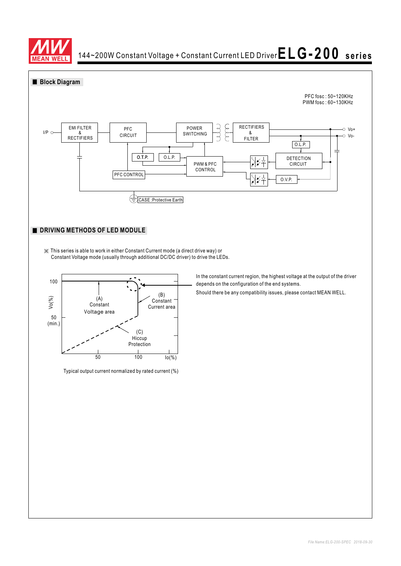



※ This series is able to work in either Constant Current mode (a direct drive way) or Constant Voltage mode (usually through additional DC/DC driver) to drive the LEDs.



Typical output current normalized by rated current (%)

In the constant current region, the highest voltage at the output of the driver depends on the configuration of the end systems.

Should there be any compatibility issues, please contact MEAN WELL.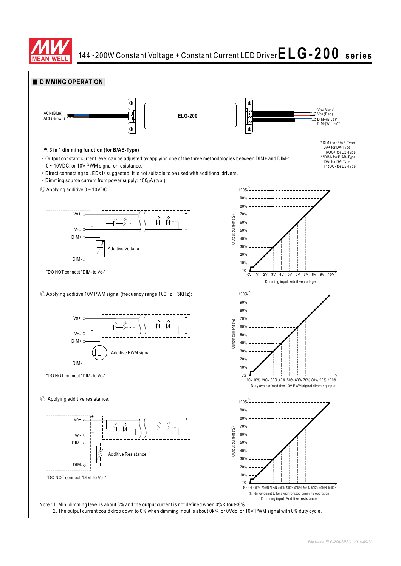

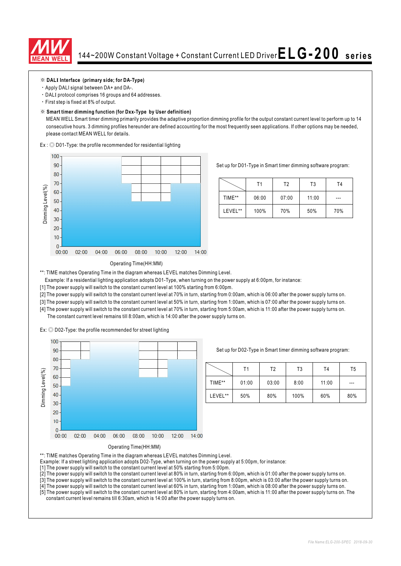

#### ※ **DAL Interface (primary side; for DA-Type) I**

- Apply DALI signal between DA+ and DA-.
- · DALI protocol comprises 16 groups and 64 addresses.
- First step is fixed at 8% of output.

#### ※ **Smart timer dimming function (for Dxx-Type by User definition)**

MEAN WELL Smart timer dimming primarily provides the adaptive proportion dimming profile for the output constant current level to perform up to 14 consecutive hours. 3 dimming profiles hereunder are defined accounting for the most frequently seen applications. If other options may be needed, please contact MEAN WELL for details.

 $Ex:$   $\odot$  D01-Type: the profile recommended for residential lighting



Set up for D01-Type in Smart timer dimming software program:

|         | Τ1    | T2    | T <sub>3</sub> | Τ4  |
|---------|-------|-------|----------------|-----|
| TIME**  | 06:00 | 07:00 | 11:00          | --- |
| LEVEL** | 100%  | 70%   | 50%            | 70% |

#### Operating Time(HH:MM)

\*\*: TIME matches Operating Time in the diagram whereas LEVEL matches Dimming Level.

- Example: If a residential lighting application adopts D01-Type, when turning on the power supply at 6:00pm, for instance:
- [1] The power supply will switch to the constant current level at 100% starting from 6:00pm.
- [2] The power supply will switch to the constant current level at 70% in turn, starting from 0:00am, which is 06:00 after the power supply turns on.
- [3] The power supply will switch to the constant current level at 50% in turn, starting from 1:00am, which is 07:00 after the power supply turns on.
- [4] The power supply will switch to the constant current level at 70% in turn, starting from 5:00am, which is 11:00 after the power supply turns on. The constant current level remains till 8:00am, which is 14:00 after the power supply turns on.

 $Ex:$   $\odot$  D02-Type: the profile recommended for street lighting



Set up for D02-Type in Smart timer dimming software program:

|         | Τ1    | T3<br>Т2 |      | T <sub>4</sub> | T5  |
|---------|-------|----------|------|----------------|-----|
| TIME**  | 01:00 | 03:00    | 8:00 | 11:00          | --- |
| LEVEL** | 50%   | 80%      | 100% | 60%            | 80% |



\*\*: TIME matches Operating Time in the diagram whereas LEVEL matches Dimming Level.

- Example: If a street lighting application adopts D02-Type, when turning on the power supply at 5:00pm, for instance:
- [1] The power supply will switch to the constant current level at 50% starting from 5:00pm.
- [2] The power supply will switch to the constant current level at 80% in turn, starting from 6:00pm, which is 01:00 after the power supply turns on.
- [3] The power supply will switch to the constant current level at 100% in turn, starting from 8:00pm, which is 03:00 after the power supply turns on.
- [4] The power supply will switch to the constant current level at 60% in turn, starting from 1:00am, which is 08:00 after the power supply turns on.
- [5] The power supply will switch to the constant current level at 80% in turn, starting from 4:00am, which is 11:00 after the power supply turns on. The constant current level remains till 6:30am, which is 14:00 after the power supply turns on.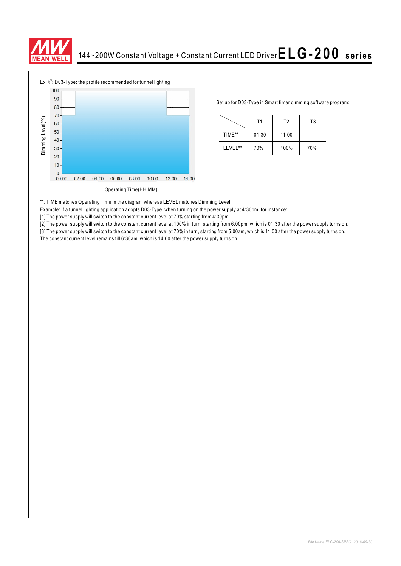



Set up for D03-Type in Smart timer dimming software program:

|         | Τ1    |       | T3  |  |
|---------|-------|-------|-----|--|
| TIME**  | 01:30 | 11:00 |     |  |
| LEVEL** | 70%   | 100%  | 70% |  |

\*\*: TIME matches Operating Time in the diagram whereas LEVEL matches Dimming Level.

Example: If a tunnel lighting application adopts D03-Type, when turning on the power supply at 4:30pm, for instance:

[1] The power supply will switch to the constant current level at 70% starting from 4:30pm.

[2] The power supply will switch to the constant current level at 100% in turn, starting from 6:00pm, which is 01:30 after the power supply turns on.

[3] The power supply will switch to the constant current level at 70% in turn, starting from 5:00am, which is 11:00 after the power supply turns on.<br>The constant current level remains till 6:30am, which is 14:00 after the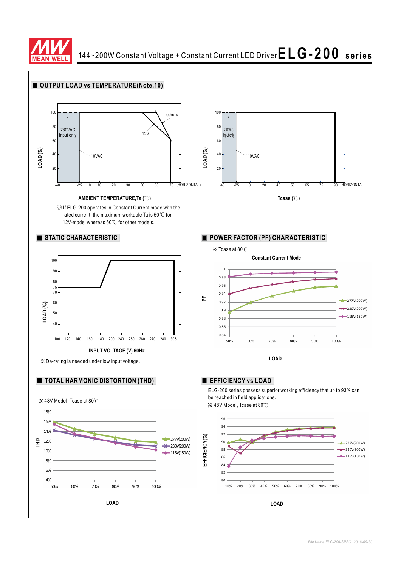

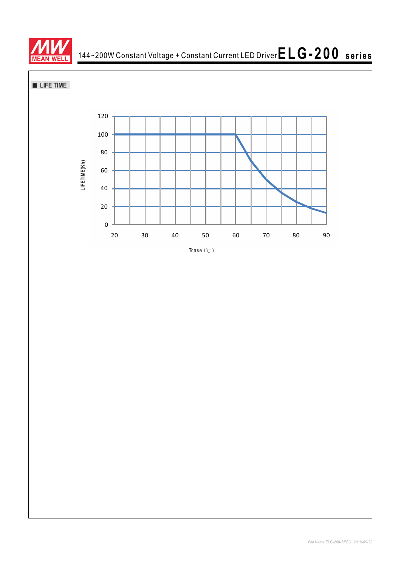

**LIFE TIME** 

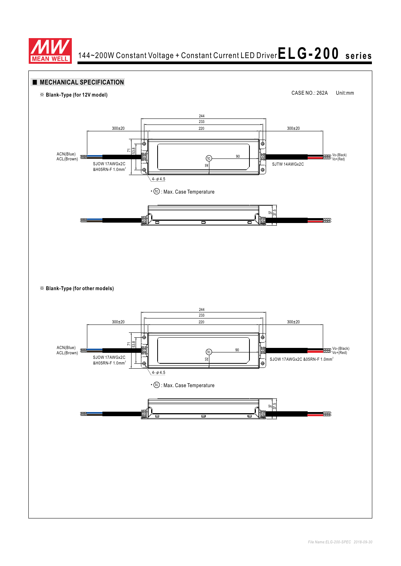

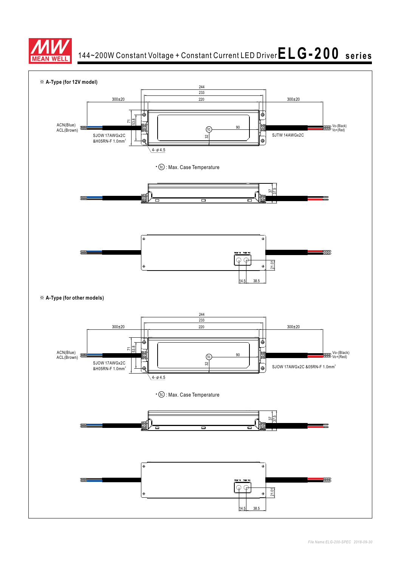

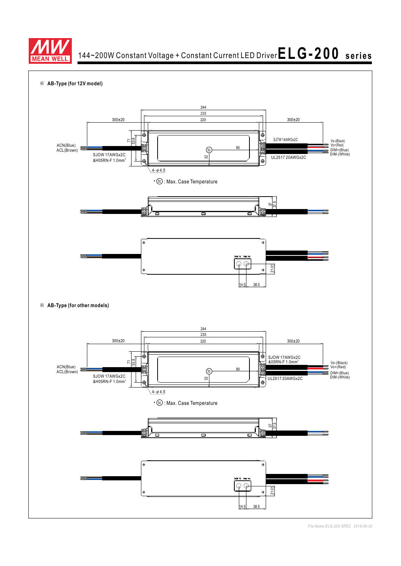



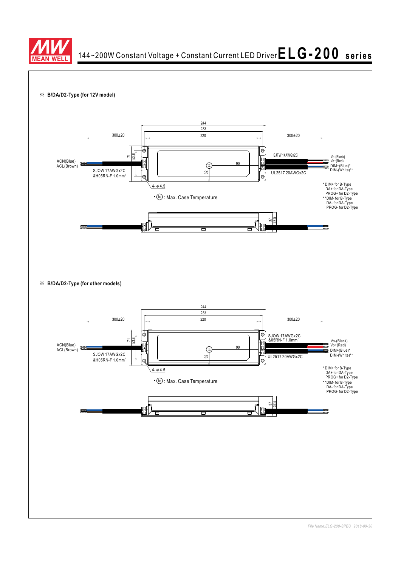